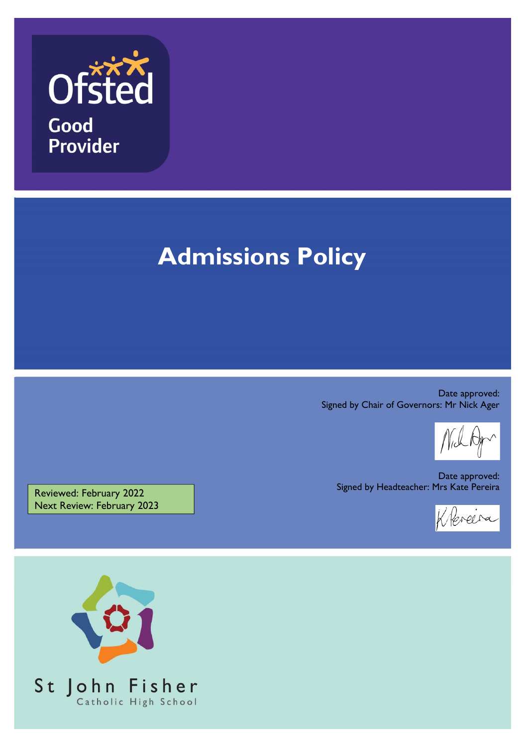

# **Admissions Policy**

Date approved: Signed by Chair of Governors: Mr Nick Ager

Date approved: Signed by Headteacher: Mrs Kate Pereira



Reviewed: February 2022 Next Review: February 2023

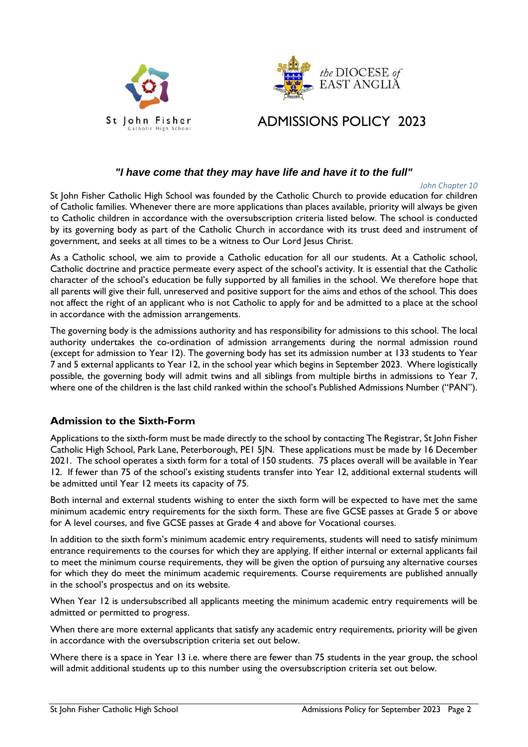



# ADMISSIONS POLICY 2023

### *"I have come that they may have life and have it to the full"*

#### *John Chapter 10*

St John Fisher Catholic High School was founded by the Catholic Church to provide education for children of Catholic families. Whenever there are more applications than places available, priority will always be given to Catholic children in accordance with the oversubscription criteria listed below. The school is conducted by its governing body as part of the Catholic Church in accordance with its trust deed and instrument of government, and seeks at all times to be a witness to Our Lord Jesus Christ.

As a Catholic school, we aim to provide a Catholic education for all our students. At a Catholic school, Catholic doctrine and practice permeate every aspect of the school's activity. It is essential that the Catholic character of the school's education be fully supported by all families in the school. We therefore hope that all parents will give their full, unreserved and positive support for the aims and ethos of the school. This does not affect the right of an applicant who is not Catholic to apply for and be admitted to a place at the school in accordance with the admission arrangements.

The governing body is the admissions authority and has responsibility for admissions to this school. The local authority undertakes the co-ordination of admission arrangements during the normal admission round (except for admission to Year 12). The governing body has set its admission number at 133 students to Year 7 and 5 external applicants to Year 12, in the school year which begins in September 2023. Where logistically possible, the governing body will admit twins and all siblings from multiple births in admissions to Year 7, where one of the children is the last child ranked within the school's Published Admissions Number ("PAN").

### **Admission to the Sixth-Form**

Applications to the sixth-form must be made directly to the school by contacting The Registrar, St John Fisher Catholic High School, Park Lane, Peterborough, PE1 5JN. These applications must be made by 16 December 2021.The school operates a sixth form for a total of 150 students. 75 places overall will be available in Year 12. If fewer than 75 of the school's existing students transfer into Year 12, additional external students will be admitted until Year 12 meets its capacity of 75.

Both internal and external students wishing to enter the sixth form will be expected to have met the same minimum academic entry requirements for the sixth form. These are five GCSE passes at Grade 5 or above for A level courses, and five GCSE passes at Grade 4 and above for Vocational courses.

In addition to the sixth form's minimum academic entry requirements, students will need to satisfy minimum entrance requirements to the courses for which they are applying. If either internal or external applicants fail to meet the minimum course requirements, they will be given the option of pursuing any alternative courses for which they do meet the minimum academic requirements. Course requirements are published annually in the school's prospectus and on its website.

When Year 12 is undersubscribed all applicants meeting the minimum academic entry requirements will be admitted or permitted to progress.

When there are more external applicants that satisfy any academic entry requirements, priority will be given in accordance with the oversubscription criteria set out below.

Where there is a space in Year 13 i.e. where there are fewer than 75 students in the year group, the school will admit additional students up to this number using the oversubscription criteria set out below.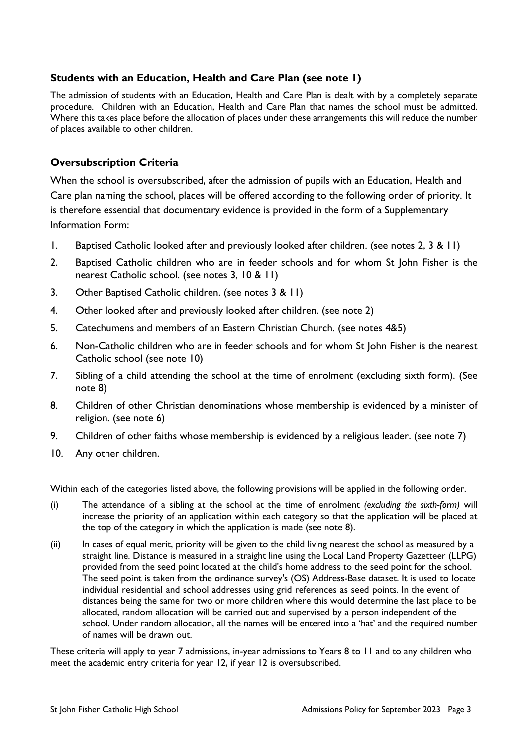# **Students with an Education, Health and Care Plan (see note 1)**

The admission of students with an Education, Health and Care Plan is dealt with by a completely separate procedure. Children with an Education, Health and Care Plan that names the school must be admitted. Where this takes place before the allocation of places under these arrangements this will reduce the number of places available to other children.

# **Oversubscription Criteria**

When the school is oversubscribed, after the admission of pupils with an Education, Health and Care plan naming the school, places will be offered according to the following order of priority. It is therefore essential that documentary evidence is provided in the form of a Supplementary Information Form:

- 1. Baptised Catholic looked after and previously looked after children. (see notes 2, 3 & 11)
- 2. Baptised Catholic children who are in feeder schools and for whom St John Fisher is the nearest Catholic school. (see notes 3, 10 & 11)
- 3. Other Baptised Catholic children. (see notes 3 & 11)
- 4. Other looked after and previously looked after children. (see note 2)
- 5. Catechumens and members of an Eastern Christian Church. (see notes 4&5)
- 6. Non-Catholic children who are in feeder schools and for whom St John Fisher is the nearest Catholic school (see note 10)
- 7. Sibling of a child attending the school at the time of enrolment (excluding sixth form). (See note 8)
- 8. Children of other Christian denominations whose membership is evidenced by a minister of religion. (see note 6)
- 9. Children of other faiths whose membership is evidenced by a religious leader. (see note 7)
- 10. Any other children.

Within each of the categories listed above, the following provisions will be applied in the following order.

- (i) The attendance of a sibling at the school at the time of enrolment *(excluding the sixth-form)* will increase the priority of an application within each category so that the application will be placed at the top of the category in which the application is made (see note 8).
- (ii) In cases of equal merit, priority will be given to the child living nearest the school as measured by a straight line. Distance is measured in a straight line using the Local Land Property Gazetteer (LLPG) provided from the seed point located at the child's home address to the seed point for the school. The seed point is taken from the ordinance survey's (OS) Address-Base dataset. It is used to locate individual residential and school addresses using grid references as seed points. In the event of distances being the same for two or more children where this would determine the last place to be allocated, random allocation will be carried out and supervised by a person independent of the school. Under random allocation, all the names will be entered into a 'hat' and the required number of names will be drawn out.

These criteria will apply to year 7 admissions, in-year admissions to Years 8 to 11 and to any children who meet the academic entry criteria for year 12, if year 12 is oversubscribed.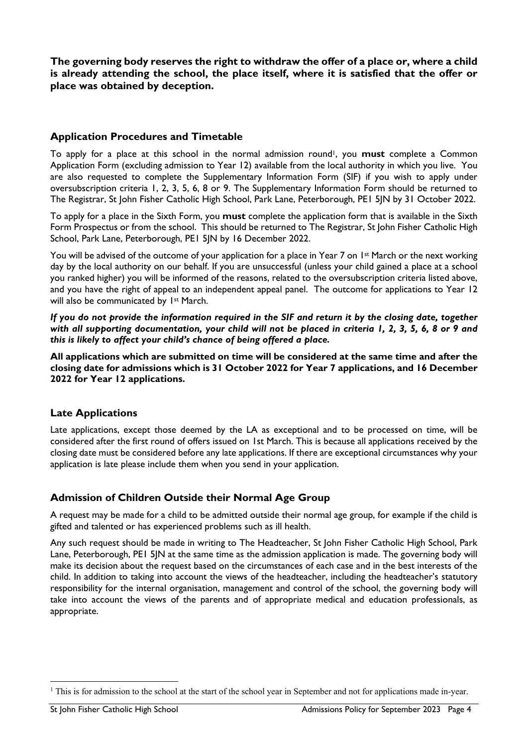**The governing body reserves the right to withdraw the offer of a place or, where a child is already attending the school, the place itself, where it is satisfied that the offer or place was obtained by deception.** 

#### **Application Procedures and Timetable**

To apply for a place at this school in the normal admission round<sup>1</sup>, you **must** complete a Common Application Form (excluding admission to Year 12) available from the local authority in which you live. You are also requested to complete the Supplementary Information Form (SIF) if you wish to apply under oversubscription criteria 1, 2, 3, 5, 6, 8 or 9. The Supplementary Information Form should be returned to The Registrar, St John Fisher Catholic High School, Park Lane, Peterborough, PE1 5JN by 31 October 2022.

To apply for a place in the Sixth Form, you **must** complete the application form that is available in the Sixth Form Prospectus or from the school. This should be returned to The Registrar, St John Fisher Catholic High School, Park Lane, Peterborough, PE1 5JN by 16 December 2022.

You will be advised of the outcome of your application for a place in Year 7 on 1<sup>st</sup> March or the next working day by the local authority on our behalf. If you are unsuccessful (unless your child gained a place at a school you ranked higher) you will be informed of the reasons, related to the oversubscription criteria listed above, and you have the right of appeal to an independent appeal panel. The outcome for applications to Year 12 will also be communicated by 1<sup>st</sup> March.

*If you do not provide the information required in the SIF and return it by the closing date, together with all supporting documentation, your child will not be placed in criteria 1, 2, 3, 5, 6, 8 or 9 and this is likely to affect your child's chance of being offered a place.*

**All applications which are submitted on time will be considered at the same time and after the closing date for admissions which is 31 October 2022 for Year 7 applications, and 16 December 2022 for Year 12 applications.** 

### **Late Applications**

Late applications, except those deemed by the LA as exceptional and to be processed on time, will be considered after the first round of offers issued on 1st March. This is because all applications received by the closing date must be considered before any late applications. If there are exceptional circumstances why your application is late please include them when you send in your application.

### **Admission of Children Outside their Normal Age Group**

A request may be made for a child to be admitted outside their normal age group, for example if the child is gifted and talented or has experienced problems such as ill health.

Any such request should be made in writing to The Headteacher, St John Fisher Catholic High School, Park Lane, Peterborough, PE1 5JN at the same time as the admission application is made. The governing body will make its decision about the request based on the circumstances of each case and in the best interests of the child. In addition to taking into account the views of the headteacher, including the headteacher's statutory responsibility for the internal organisation, management and control of the school, the governing body will take into account the views of the parents and of appropriate medical and education professionals, as appropriate.

 $\overline{a}$ 

<sup>&</sup>lt;sup>1</sup> This is for admission to the school at the start of the school year in September and not for applications made in-year.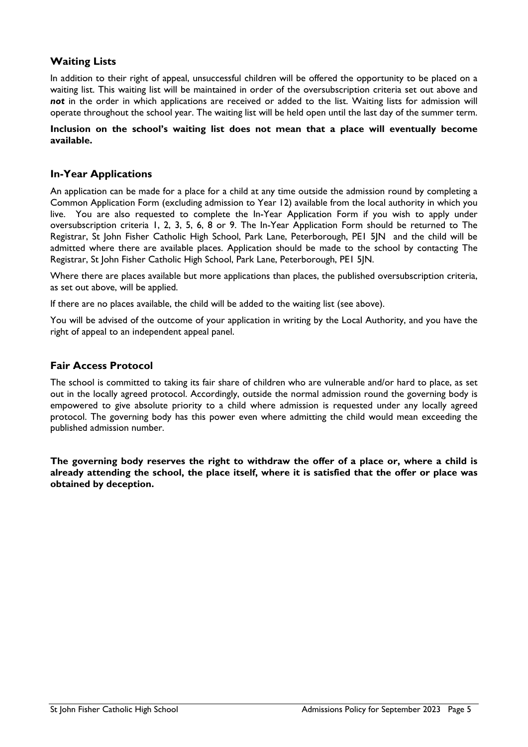#### **Waiting Lists**

In addition to their right of appeal, unsuccessful children will be offered the opportunity to be placed on a waiting list. This waiting list will be maintained in order of the oversubscription criteria set out above and *not* in the order in which applications are received or added to the list. Waiting lists for admission will operate throughout the school year. The waiting list will be held open until the last day of the summer term.

#### **Inclusion on the school's waiting list does not mean that a place will eventually become available.**

#### **In-Year Applications**

An application can be made for a place for a child at any time outside the admission round by completing a Common Application Form (excluding admission to Year 12) available from the local authority in which you live. You are also requested to complete the In-Year Application Form if you wish to apply under oversubscription criteria 1, 2, 3, 5, 6, 8 or 9. The In-Year Application Form should be returned to The Registrar, St John Fisher Catholic High School, Park Lane, Peterborough, PE1 5JN and the child will be admitted where there are available places. Application should be made to the school by contacting The Registrar, St John Fisher Catholic High School, Park Lane, Peterborough, PE1 5JN.

Where there are places available but more applications than places, the published oversubscription criteria, as set out above, will be applied.

If there are no places available, the child will be added to the waiting list (see above).

You will be advised of the outcome of your application in writing by the Local Authority, and you have the right of appeal to an independent appeal panel.

#### **Fair Access Protocol**

The school is committed to taking its fair share of children who are vulnerable and/or hard to place, as set out in the locally agreed protocol. Accordingly, outside the normal admission round the governing body is empowered to give absolute priority to a child where admission is requested under any locally agreed protocol. The governing body has this power even where admitting the child would mean exceeding the published admission number.

**The governing body reserves the right to withdraw the offer of a place or, where a child is already attending the school, the place itself, where it is satisfied that the offer or place was obtained by deception.**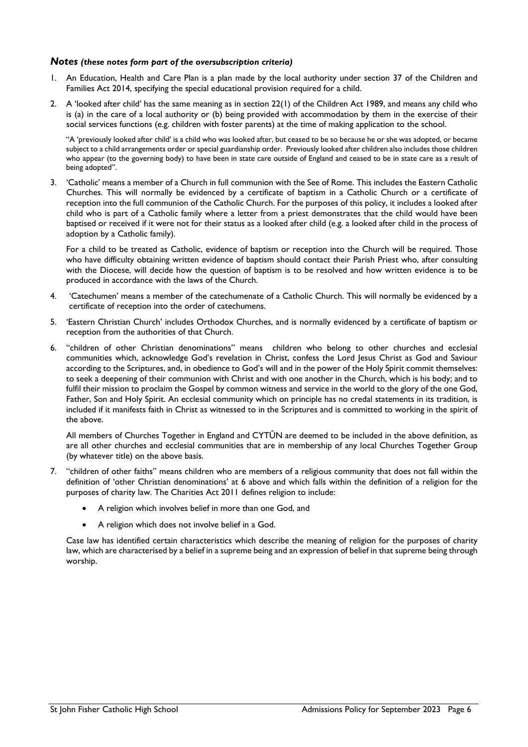#### *Notes (these notes form part of the oversubscription criteria)*

- 1. An Education, Health and Care Plan is a plan made by the local authority under section 37 of the Children and Families Act 2014, specifying the special educational provision required for a child.
- 2. A 'looked after child' has the same meaning as in section 22(1) of the Children Act 1989, and means any child who is (a) in the care of a local authority or (b) being provided with accommodation by them in the exercise of their social services functions (e.g. children with foster parents) at the time of making application to the school.

"A 'previously looked after child' is a child who was looked after, but ceased to be so because he or she was adopted, or became subject to a child arrangements order or special guardianship order. Previously looked after children also includes those children who appear (to the governing body) to have been in state care outside of England and ceased to be in state care as a result of being adopted".

3. 'Catholic' means a member of a Church in full communion with the See of Rome. This includes the Eastern Catholic Churches. This will normally be evidenced by a certificate of baptism in a Catholic Church or a certificate of reception into the full communion of the Catholic Church. For the purposes of this policy, it includes a looked after child who is part of a Catholic family where a letter from a priest demonstrates that the child would have been baptised or received if it were not for their status as a looked after child (e.g. a looked after child in the process of adoption by a Catholic family).

For a child to be treated as Catholic, evidence of baptism or reception into the Church will be required. Those who have difficulty obtaining written evidence of baptism should contact their Parish Priest who, after consulting with the Diocese, will decide how the question of baptism is to be resolved and how written evidence is to be produced in accordance with the laws of the Church.

- 4. 'Catechumen' means a member of the catechumenate of a Catholic Church. This will normally be evidenced by a certificate of reception into the order of catechumens.
- 5. 'Eastern Christian Church' includes Orthodox Churches, and is normally evidenced by a certificate of baptism or reception from the authorities of that Church.
- 6. "children of other Christian denominations" means children who belong to other churches and ecclesial communities which, acknowledge God's revelation in Christ, confess the Lord Jesus Christ as God and Saviour according to the Scriptures, and, in obedience to God's will and in the power of the Holy Spirit commit themselves: to seek a deepening of their communion with Christ and with one another in the Church, which is his body; and to fulfil their mission to proclaim the Gospel by common witness and service in the world to the glory of the one God, Father, Son and Holy Spirit. An ecclesial community which on principle has no credal statements in its tradition, is included if it manifests faith in Christ as witnessed to in the Scriptures and is committed to working in the spirit of the above.

All members of Churches Together in England and CYTÛN are deemed to be included in the above definition, as are all other churches and ecclesial communities that are in membership of any local Churches Together Group (by whatever title) on the above basis.

- 7. "children of other faiths" means children who are members of a religious community that does not fall within the definition of 'other Christian denominations' at 6 above and which falls within the definition of a religion for the purposes of charity law. The Charities Act 2011 defines religion to include:
	- A religion which involves belief in more than one God, and
	- A religion which does not involve belief in a God.

Case law has identified certain characteristics which describe the meaning of religion for the purposes of charity law, which are characterised by a belief in a supreme being and an expression of belief in that supreme being through worship.